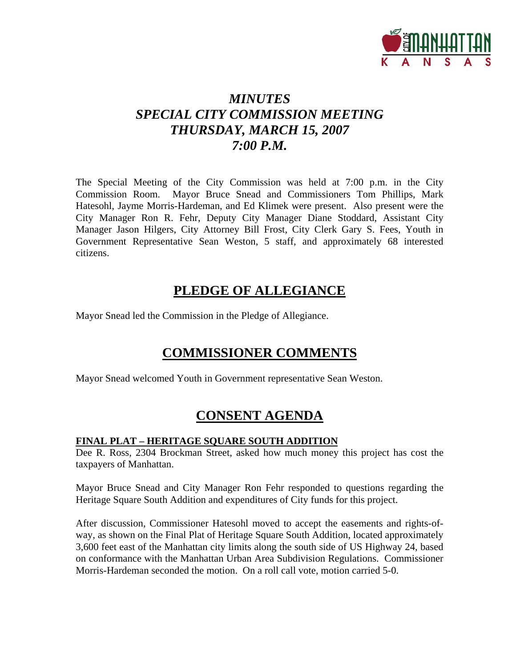

## *MINUTES SPECIAL CITY COMMISSION MEETING THURSDAY, MARCH 15, 2007 7:00 P.M.*

The Special Meeting of the City Commission was held at 7:00 p.m. in the City Commission Room. Mayor Bruce Snead and Commissioners Tom Phillips, Mark Hatesohl, Jayme Morris-Hardeman, and Ed Klimek were present. Also present were the City Manager Ron R. Fehr, Deputy City Manager Diane Stoddard, Assistant City Manager Jason Hilgers, City Attorney Bill Frost, City Clerk Gary S. Fees, Youth in Government Representative Sean Weston, 5 staff, and approximately 68 interested citizens.

### **PLEDGE OF ALLEGIANCE**

Mayor Snead led the Commission in the Pledge of Allegiance.

## **COMMISSIONER COMMENTS**

Mayor Snead welcomed Youth in Government representative Sean Weston.

## **CONSENT AGENDA**

#### **FINAL PLAT – HERITAGE SQUARE SOUTH ADDITION**

Dee R. Ross, 2304 Brockman Street, asked how much money this project has cost the taxpayers of Manhattan.

Mayor Bruce Snead and City Manager Ron Fehr responded to questions regarding the Heritage Square South Addition and expenditures of City funds for this project.

After discussion, Commissioner Hatesohl moved to accept the easements and rights-ofway, as shown on the Final Plat of Heritage Square South Addition, located approximately 3,600 feet east of the Manhattan city limits along the south side of US Highway 24, based on conformance with the Manhattan Urban Area Subdivision Regulations. Commissioner Morris-Hardeman seconded the motion. On a roll call vote, motion carried 5-0.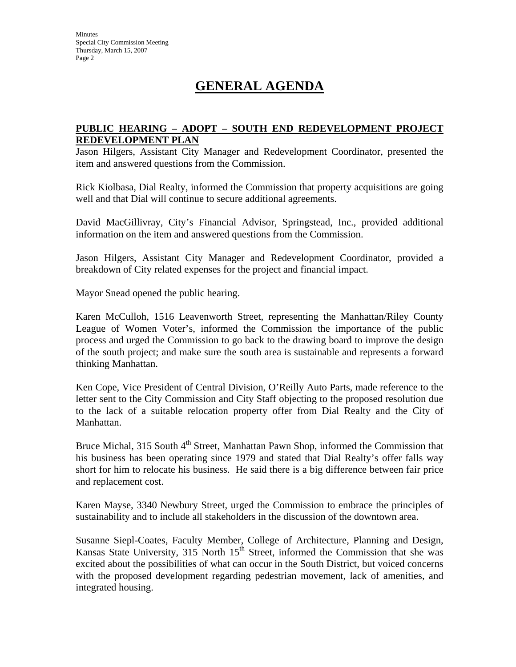# **GENERAL AGENDA**

#### **PUBLIC HEARING – ADOPT – SOUTH END REDEVELOPMENT PROJECT REDEVELOPMENT PLAN**

Jason Hilgers, Assistant City Manager and Redevelopment Coordinator, presented the item and answered questions from the Commission.

Rick Kiolbasa, Dial Realty, informed the Commission that property acquisitions are going well and that Dial will continue to secure additional agreements.

David MacGillivray, City's Financial Advisor, Springstead, Inc., provided additional information on the item and answered questions from the Commission.

Jason Hilgers, Assistant City Manager and Redevelopment Coordinator, provided a breakdown of City related expenses for the project and financial impact.

Mayor Snead opened the public hearing.

Karen McCulloh, 1516 Leavenworth Street, representing the Manhattan/Riley County League of Women Voter's, informed the Commission the importance of the public process and urged the Commission to go back to the drawing board to improve the design of the south project; and make sure the south area is sustainable and represents a forward thinking Manhattan.

Ken Cope, Vice President of Central Division, O'Reilly Auto Parts, made reference to the letter sent to the City Commission and City Staff objecting to the proposed resolution due to the lack of a suitable relocation property offer from Dial Realty and the City of Manhattan.

Bruce Michal, 315 South 4<sup>th</sup> Street, Manhattan Pawn Shop, informed the Commission that his business has been operating since 1979 and stated that Dial Realty's offer falls way short for him to relocate his business. He said there is a big difference between fair price and replacement cost.

Karen Mayse, 3340 Newbury Street, urged the Commission to embrace the principles of sustainability and to include all stakeholders in the discussion of the downtown area.

Susanne Siepl-Coates, Faculty Member, College of Architecture, Planning and Design, Kansas State University,  $315$  North  $15<sup>th</sup>$  Street, informed the Commission that she was excited about the possibilities of what can occur in the South District, but voiced concerns with the proposed development regarding pedestrian movement, lack of amenities, and integrated housing.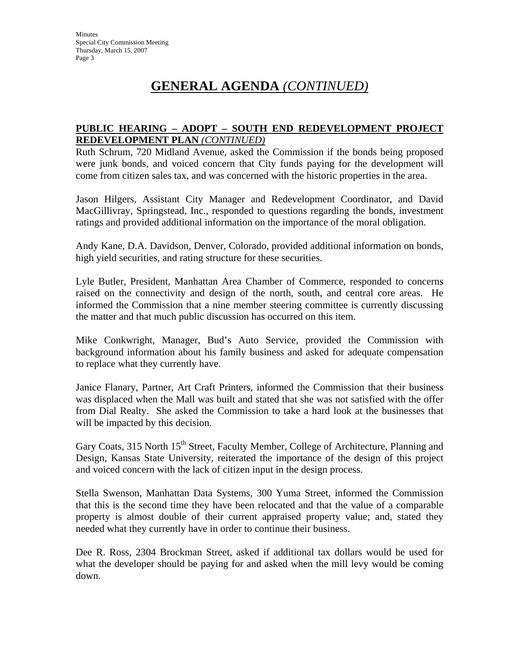# **GENERAL AGENDA** *(CONTINUED)*

### **PUBLIC HEARING – ADOPT – SOUTH END REDEVELOPMENT PROJECT REDEVELOPMENT PLAN** *(CONTINUED)*

Ruth Schrum, 720 Midland Avenue, asked the Commission if the bonds being proposed were junk bonds, and voiced concern that City funds paying for the development will come from citizen sales tax, and was concerned with the historic properties in the area.

Jason Hilgers, Assistant City Manager and Redevelopment Coordinator, and David MacGillivray, Springstead, Inc., responded to questions regarding the bonds, investment ratings and provided additional information on the importance of the moral obligation.

Andy Kane, D.A. Davidson, Denver, Colorado, provided additional information on bonds, high yield securities, and rating structure for these securities.

Lyle Butler, President, Manhattan Area Chamber of Commerce, responded to concerns raised on the connectivity and design of the north, south, and central core areas. He informed the Commission that a nine member steering committee is currently discussing the matter and that much public discussion has occurred on this item.

Mike Conkwright, Manager, Bud's Auto Service, provided the Commission with background information about his family business and asked for adequate compensation to replace what they currently have.

Janice Flanary, Partner, Art Craft Printers, informed the Commission that their business was displaced when the Mall was built and stated that she was not satisfied with the offer from Dial Realty. She asked the Commission to take a hard look at the businesses that will be impacted by this decision.

Gary Coats, 315 North 15<sup>th</sup> Street, Faculty Member, College of Architecture, Planning and Design, Kansas State University, reiterated the importance of the design of this project and voiced concern with the lack of citizen input in the design process.

Stella Swenson, Manhattan Data Systems, 300 Yuma Street, informed the Commission that this is the second time they have been relocated and that the value of a comparable property is almost double of their current appraised property value; and, stated they needed what they currently have in order to continue their business.

Dee R. Ross, 2304 Brockman Street, asked if additional tax dollars would be used for what the developer should be paying for and asked when the mill levy would be coming down.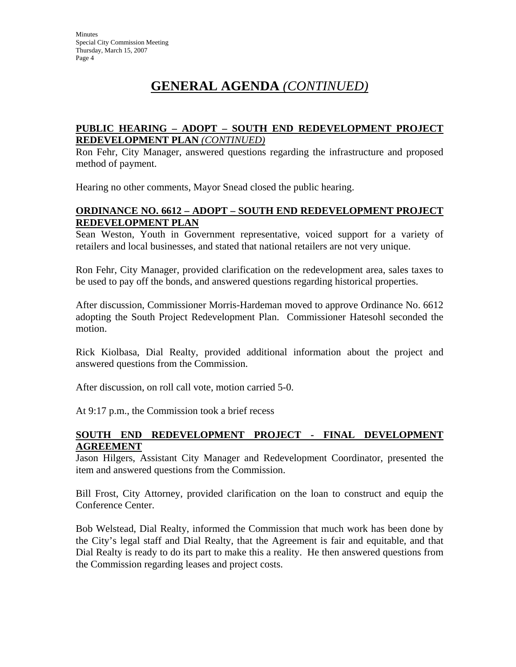# **GENERAL AGENDA** *(CONTINUED)*

#### **PUBLIC HEARING – ADOPT – SOUTH END REDEVELOPMENT PROJECT REDEVELOPMENT PLAN** *(CONTINUED)*

Ron Fehr, City Manager, answered questions regarding the infrastructure and proposed method of payment.

Hearing no other comments, Mayor Snead closed the public hearing.

#### **ORDINANCE NO. 6612 – ADOPT – SOUTH END REDEVELOPMENT PROJECT REDEVELOPMENT PLAN**

Sean Weston, Youth in Government representative, voiced support for a variety of retailers and local businesses, and stated that national retailers are not very unique.

Ron Fehr, City Manager, provided clarification on the redevelopment area, sales taxes to be used to pay off the bonds, and answered questions regarding historical properties.

After discussion, Commissioner Morris-Hardeman moved to approve Ordinance No. 6612 adopting the South Project Redevelopment Plan. Commissioner Hatesohl seconded the motion.

Rick Kiolbasa, Dial Realty, provided additional information about the project and answered questions from the Commission.

After discussion, on roll call vote, motion carried 5-0.

At 9:17 p.m., the Commission took a brief recess

#### **SOUTH END REDEVELOPMENT PROJECT - FINAL DEVELOPMENT AGREEMENT**

Jason Hilgers, Assistant City Manager and Redevelopment Coordinator, presented the item and answered questions from the Commission.

Bill Frost, City Attorney, provided clarification on the loan to construct and equip the Conference Center.

Bob Welstead, Dial Realty, informed the Commission that much work has been done by the City's legal staff and Dial Realty, that the Agreement is fair and equitable, and that Dial Realty is ready to do its part to make this a reality. He then answered questions from the Commission regarding leases and project costs.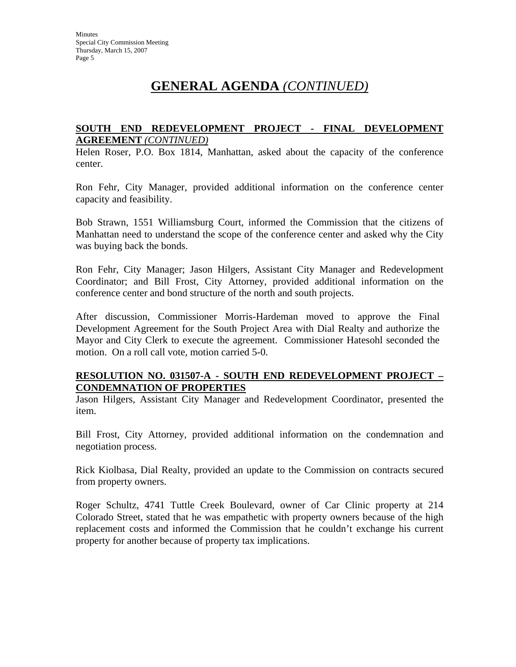## **GENERAL AGENDA** *(CONTINUED)*

#### **SOUTH END REDEVELOPMENT PROJECT - FINAL DEVELOPMENT AGREEMENT** *(CONTINUED)*

Helen Roser, P.O. Box 1814, Manhattan, asked about the capacity of the conference center.

Ron Fehr, City Manager, provided additional information on the conference center capacity and feasibility.

Bob Strawn, 1551 Williamsburg Court, informed the Commission that the citizens of Manhattan need to understand the scope of the conference center and asked why the City was buying back the bonds.

Ron Fehr, City Manager; Jason Hilgers, Assistant City Manager and Redevelopment Coordinator; and Bill Frost, City Attorney, provided additional information on the conference center and bond structure of the north and south projects.

After discussion, Commissioner Morris-Hardeman moved to approve the Final Development Agreement for the South Project Area with Dial Realty and authorize the Mayor and City Clerk to execute the agreement. Commissioner Hatesohl seconded the motion. On a roll call vote, motion carried 5-0.

#### **RESOLUTION NO. 031507-A - SOUTH END REDEVELOPMENT PROJECT – CONDEMNATION OF PROPERTIES**

Jason Hilgers, Assistant City Manager and Redevelopment Coordinator, presented the item.

Bill Frost, City Attorney, provided additional information on the condemnation and negotiation process.

Rick Kiolbasa, Dial Realty, provided an update to the Commission on contracts secured from property owners.

Roger Schultz, 4741 Tuttle Creek Boulevard, owner of Car Clinic property at 214 Colorado Street, stated that he was empathetic with property owners because of the high replacement costs and informed the Commission that he couldn't exchange his current property for another because of property tax implications.